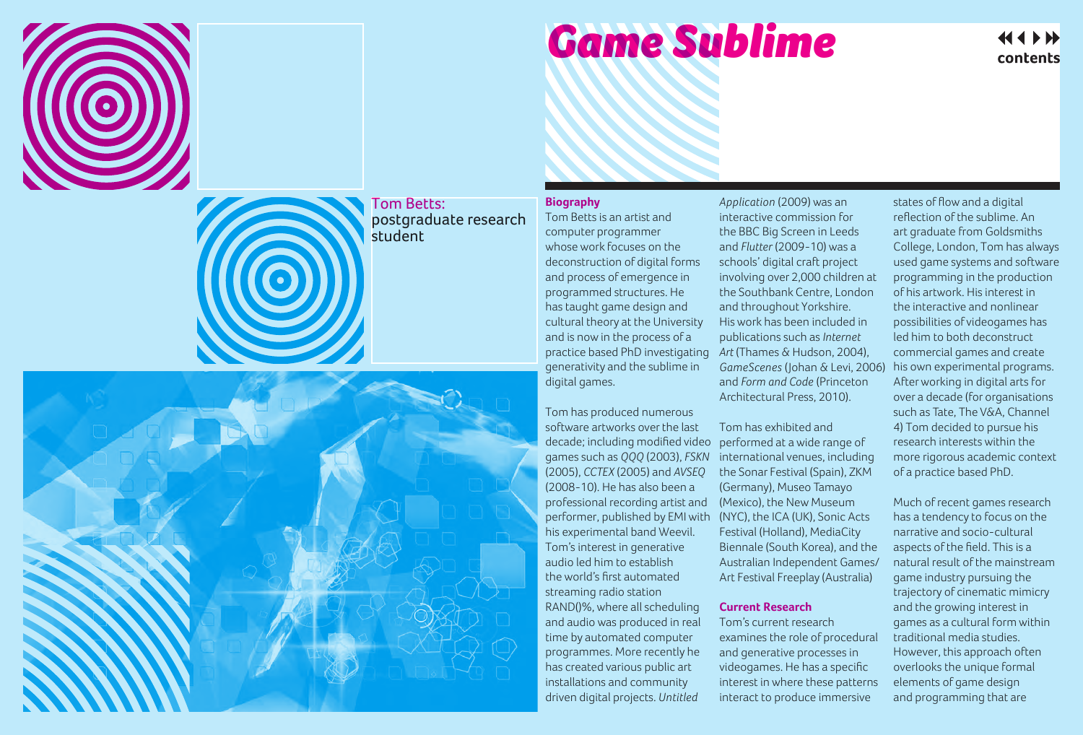

# *Game Sublime*

## contents

### Tom Betts: postgraduate research student

#### **Biography**

Tom Betts is an artist and computer programmer whose work focuses on the deconstruction of digital forms and process of emergence in programmed structures. He has taught game design and cultural theory at the University and is now in the process of a practice based PhD investigating generativity and the sublime in digital games.

Tom has produced numerous software artworks over the last decade; including modified video games such as *QQQ* (2003), *FSKN* (2005), *CCTEX* (2005) and *AVSEQ* (2008-10). He has also been a professional recording artist and performer, published by EMI with his experimental band Weevil. Tom's interest in generative audio led him to establish the world's first automated streaming radio station RAND()%, where all scheduling and audio was produced in real time by automated computer programmes. More recently he has created various public art installations and community driven digital projects. *Untitled* 

*Application* (2009) was an interactive commission for the BBC Big Screen in Leeds and *Flutter* (2009-10) was a schools' digital craft project involving over 2,000 children at the Southbank Centre, London and throughout Yorkshire. His work has been included in publications such as *Internet Art* (Thames & Hudson, 2004), *GameScenes* (Johan & Levi, 2006) and *Form and Code* (Princeton Architectural Press, 2010).

Tom has exhibited and performed at a wide range of international venues, including the Sonar Festival (Spain), ZKM (Germany), Museo Tamayo (Mexico), the New Museum (NYC), the ICA (UK), Sonic Acts Festival (Holland), MediaCity Biennale (South Korea), and the Australian Independent Games/ Art Festival Freeplay (Australia)

#### **Current Research**

Tom's current research examines the role of procedural and generative processes in videogames. He has a specific interest in where these patterns interact to produce immersive

states of flow and a digital reflection of the sublime. An art graduate from Goldsmiths College, London, Tom has always used game systems and software programming in the production of his artwork. His interest in the interactive and nonlinear possibilities of videogames has led him to both deconstruct commercial games and create his own experimental programs. After working in digital arts for over a decade (for organisations such as Tate, The V&A, Channel 4) Tom decided to pursue his research interests within the more rigorous academic context of a practice based PhD.

Much of recent games research has a tendency to focus on the narrative and socio-cultural aspects of the field. This is a natural result of the mainstream game industry pursuing the trajectory of cinematic mimicry and the growing interest in games as a cultural form within traditional media studies. However, this approach often overlooks the unique formal elements of game design and programming that are